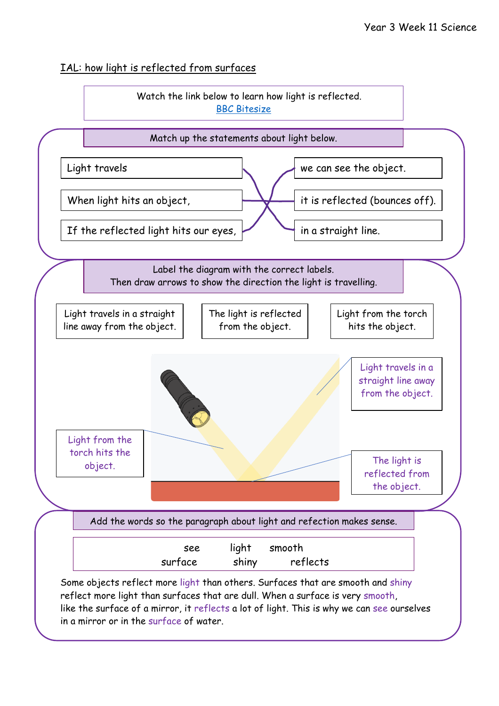#### IAL: how light is reflected from surfaces

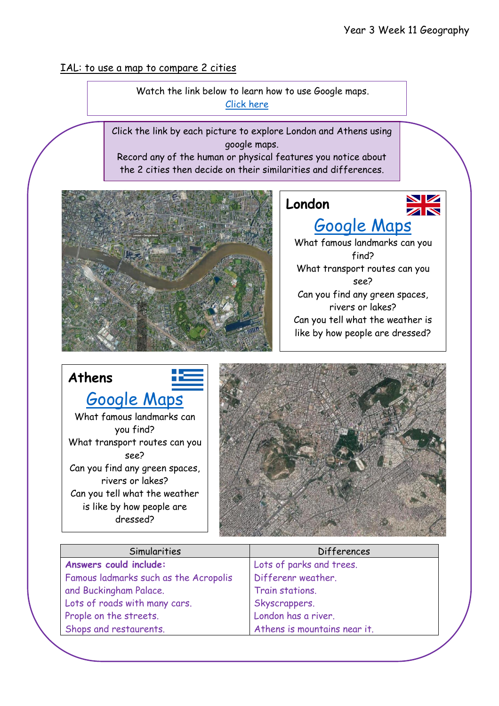#### IAL: to use a map to compare 2 cities

 Watch the link below to learn how to use Google maps. [Click here](https://www.youtube.com/watch?v=N6DrfYHVcXs)

Click the link by each picture to explore London and Athens using google maps.

Record any of the human or physical features you notice about the 2 cities then decide on their similarities and differences.



## **London**



# [Google Maps](https://www.google.co.uk/maps/place/London/@51.5287714,-0.2420241,11z/data=!3m1!4b1!4m5!3m4!1s0x47d8a00baf21de75:0x52963a5addd52a99!8m2!3d51.5073509!4d-0.1277583)

What famous landmarks can you find? What transport routes can you see? Can you find any green spaces, rivers or lakes? Can you tell what the weather is like by how people are dressed?

### **Athens** [Google Maps](https://www.google.co.uk/maps/place/Athens,+Greece/@37.9908996,23.7032341,13z/data=!3m1!4b1!4m5!3m4!1s0x14a1bd1f067043f1:0x2736354576668ddd!8m2!3d37.9838096!4d23.7275388) What famous landmarks can you find? What transport routes can you see? Can you find any green spaces, rivers or lakes? Can you tell what the weather is like by how people are dressed?



| Simularities                          | <b>Differences</b>           |  |
|---------------------------------------|------------------------------|--|
| Answers could include:                | Lots of parks and trees.     |  |
| Famous ladmarks such as the Acropolis | Differenr weather.           |  |
| and Buckingham Palace.                | Train stations.              |  |
| Lots of roads with many cars.         | Skyscrappers.                |  |
| Prople on the streets.                | London has a river.          |  |
| Shops and restaurents.                | Athens is mountains near it. |  |